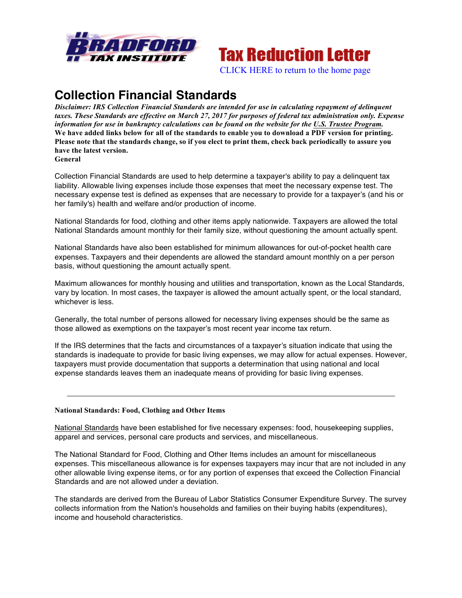

# **Tax Reduction Letter**

[CLICK HERE to return to the home page](www.bradfordtaxinstitute.com)

## **Collection Financial Standards**

*Disclaimer: IRS Collection Financial Standards are intended for use in calculating repayment of delinquent* taxes. These Standards are effective on March 27, 2017 for purposes of federal tax administration only. Expense *information for use in bankruptcy calculations can be found on the website for the U.S. Trustee Program.* We have added links below for all of the standards to enable you to download a PDF version for printing. Please note that the standards change, so if you elect to print them, check back periodically to assure you **have the latest version. General**

Collection Financial Standards are used to help determine a taxpayer's ability to pay a delinquent tax liability. Allowable living expenses include those expenses that meet the necessary expense test. The necessary expense test is defined as expenses that are necessary to provide for a taxpayer's (and his or her family's) health and welfare and/or production of income.

National Standards for food, clothing and other items apply nationwide. Taxpayers are allowed the total National Standards amount monthly for their family size, without questioning the amount actually spent.

National Standards have also been established for minimum allowances for out-of-pocket health care expenses. Taxpayers and their dependents are allowed the standard amount monthly on a per person basis, without questioning the amount actually spent.

Maximum allowances for monthly housing and utilities and transportation, known as the Local Standards, vary by location. In most cases, the taxpayer is allowed the amount actually spent, or the local standard, whichever is less.

Generally, the total number of persons allowed for necessary living expenses should be the same as those allowed as exemptions on the taxpayer's most recent year income tax return.

If the IRS determines that the facts and circumstances of a taxpayer's situation indicate that using the standards is inadequate to provide for basic living expenses, we may allow for actual expenses. However, taxpayers must provide documentation that supports a determination that using national and local expense standards leaves them an inadequate means of providing for basic living expenses.

### **National Standards: Food, Clothing and Other Items**

National Standards have been established for five necessary expenses: food, housekeeping supplies, apparel and services, personal care products and services, and miscellaneous.

The National Standard for Food, Clothing and Other Items includes an amount for miscellaneous expenses. This miscellaneous allowance is for expenses taxpayers may incur that are not included in any other allowable living expense items, or for any portion of expenses that exceed the Collection Financial Standards and are not allowed under a deviation.

The standards are derived from the Bureau of Labor Statistics Consumer Expenditure Survey. The survey collects information from the Nation's households and families on their buying habits (expenditures), income and household characteristics.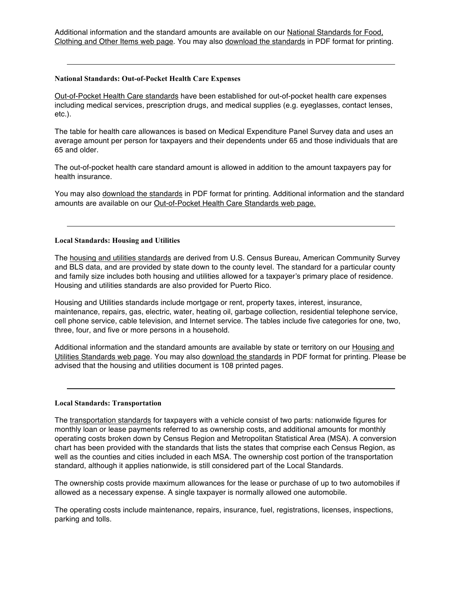Additional information and the standard amounts are available on our National Standards for Food, Clothing and Other Items web page. You may also download the standards in PDF format for printing.

#### **National Standards: Out-of-Pocket Health Care Expenses**

Out-of-Pocket Health Care standards have been established for out-of-pocket health care expenses including medical services, prescription drugs, and medical supplies (e.g. eyeglasses, contact lenses, etc.).

The table for health care allowances is based on Medical Expenditure Panel Survey data and uses an average amount per person for taxpayers and their dependents under 65 and those individuals that are 65 and older.

The out-of-pocket health care standard amount is allowed in addition to the amount taxpayers pay for health insurance.

You may also download the standards in PDF format for printing. Additional information and the standard amounts are available on our Out-of-Pocket Health Care Standards web page.

#### **Local Standards: Housing and Utilities**

The housing and utilities standards are derived from U.S. Census Bureau, American Community Survey and BLS data, and are provided by state down to the county level. The standard for a particular county and family size includes both housing and utilities allowed for a taxpayer's primary place of residence. Housing and utilities standards are also provided for Puerto Rico.

Housing and Utilities standards include mortgage or rent, property taxes, interest, insurance, maintenance, repairs, gas, electric, water, heating oil, garbage collection, residential telephone service, cell phone service, cable television, and Internet service. The tables include five categories for one, two, three, four, and five or more persons in a household.

Additional information and the standard amounts are available by state or territory on our Housing and Utilities Standards web page. You may also download the standards in PDF format for printing. Please be advised that the housing and utilities document is 108 printed pages.

#### **Local Standards: Transportation**

The transportation standards for taxpayers with a vehicle consist of two parts: nationwide figures for monthly loan or lease payments referred to as ownership costs, and additional amounts for monthly operating costs broken down by Census Region and Metropolitan Statistical Area (MSA). A conversion chart has been provided with the standards that lists the states that comprise each Census Region, as well as the counties and cities included in each MSA. The ownership cost portion of the transportation standard, although it applies nationwide, is still considered part of the Local Standards.

The ownership costs provide maximum allowances for the lease or purchase of up to two automobiles if allowed as a necessary expense. A single taxpayer is normally allowed one automobile.

The operating costs include maintenance, repairs, insurance, fuel, registrations, licenses, inspections, parking and tolls.